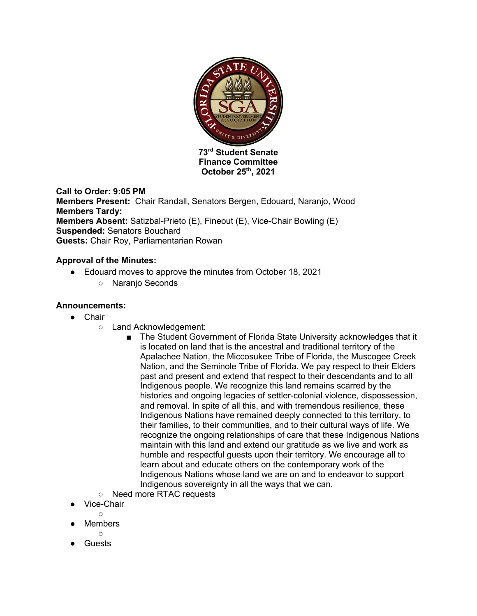

**73rd Student Senate Finance Committee October 25th, 2021**

## **Call to Order: 9:05 PM**

**Members Present:** Chair Randall, Senators Bergen, Edouard, Naranjo, Wood **Members Tardy: Members Absent:** Satizbal-Prieto (E), Fineout (E), Vice-Chair Bowling (E) **Suspended:** Senators Bouchard **Guests:** Chair Roy, Parliamentarian Rowan

## **Approval of the Minutes:**

- Edouard moves to approve the minutes from October 18, 2021
	- Naranjo Seconds

### **Announcements:**

- Chair
	- Land Acknowledgement:
		- The Student Government of Florida State University acknowledges that it is located on land that is the ancestral and traditional territory of the Apalachee Nation, the Miccosukee Tribe of Florida, the Muscogee Creek Nation, and the Seminole Tribe of Florida. We pay respect to their Elders past and present and extend that respect to their descendants and to all Indigenous people. We recognize this land remains scarred by the histories and ongoing legacies of settler-colonial violence, dispossession, and removal. In spite of all this, and with tremendous resilience, these Indigenous Nations have remained deeply connected to this territory, to their families, to their communities, and to their cultural ways of life. We recognize the ongoing relationships of care that these Indigenous Nations maintain with this land and extend our gratitude as we live and work as humble and respectful guests upon their territory. We encourage all to learn about and educate others on the contemporary work of the Indigenous Nations whose land we are on and to endeavor to support Indigenous sovereignty in all the ways that we can.
	- Need more RTAC requests
- Vice-Chair
	- $\bigcap$
- **Members**
- $\circ$ **Guests**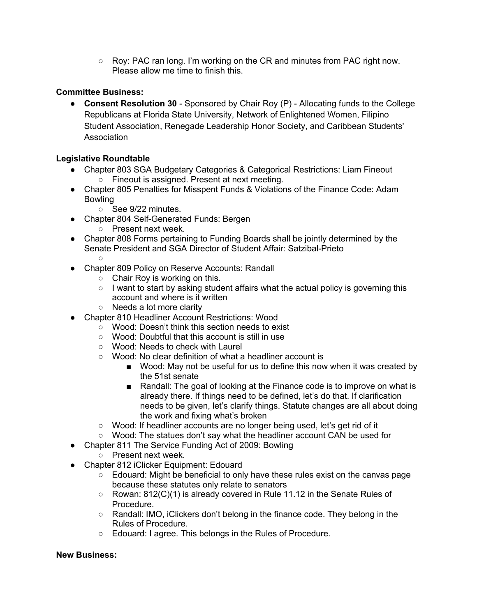○ Roy: PAC ran long. I'm working on the CR and minutes from PAC right now. Please allow me time to finish this.

# **Committee Business:**

● **Consent Resolution 30** - Sponsored by Chair Roy (P) - Allocating funds to the College Republicans at Florida State University, Network of Enlightened Women, Filipino Student Association, Renegade Leadership Honor Society, and Caribbean Students' **Association** 

# **Legislative Roundtable**

- Chapter 803 SGA Budgetary Categories & Categorical Restrictions: Liam Fineout ○ Fineout is assigned. Present at next meeting.
- Chapter 805 Penalties for Misspent Funds & Violations of the Finance Code: Adam **Bowling** 
	- See 9/22 minutes.
- Chapter 804 Self-Generated Funds: Bergen
	- Present next week.
- Chapter 808 Forms pertaining to Funding Boards shall be jointly determined by the Senate President and SGA Director of Student Affair: Satzibal-Prieto  $\circ$
- Chapter 809 Policy on Reserve Accounts: Randall
	- $\circ$  Chair Roy is working on this.
	- I want to start by asking student affairs what the actual policy is governing this account and where is it written
	- Needs a lot more clarity
- Chapter 810 Headliner Account Restrictions: Wood
	- Wood: Doesn't think this section needs to exist
	- Wood: Doubtful that this account is still in use
	- Wood: Needs to check with Laurel
	- Wood: No clear definition of what a headliner account is
		- Wood: May not be useful for us to define this now when it was created by the 51st senate
		- Randall: The goal of looking at the Finance code is to improve on what is already there. If things need to be defined, let's do that. If clarification needs to be given, let's clarify things. Statute changes are all about doing the work and fixing what's broken
	- Wood: If headliner accounts are no longer being used, let's get rid of it
	- Wood: The statues don't say what the headliner account CAN be used for
- Chapter 811 The Service Funding Act of 2009: Bowling
	- Present next week.
- Chapter 812 iClicker Equipment: Edouard
	- Edouard: Might be beneficial to only have these rules exist on the canvas page because these statutes only relate to senators
	- Rowan: 812(C)(1) is already covered in Rule 11.12 in the Senate Rules of Procedure.
	- Randall: IMO, iClickers don't belong in the finance code. They belong in the Rules of Procedure.
	- Edouard: I agree. This belongs in the Rules of Procedure.

### **New Business:**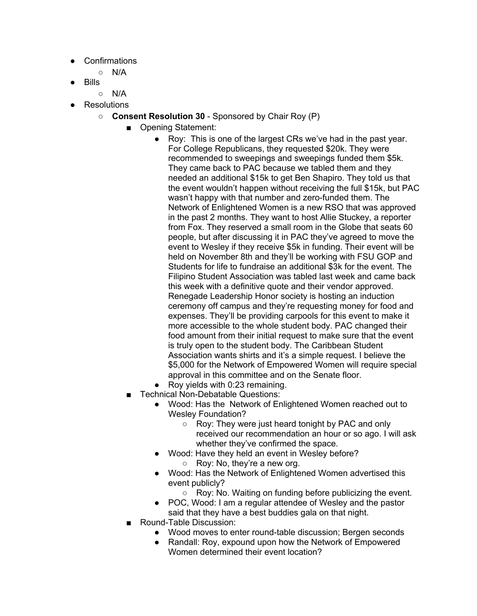- Confirmations
	- N/A
- **Bills** 
	- $\circ$  N/A
- **Resolutions** 
	- **Consent Resolution 30** Sponsored by Chair Roy (P)
		- Opening Statement:
			- Roy: This is one of the largest CRs we've had in the past year. For College Republicans, they requested \$20k. They were recommended to sweepings and sweepings funded them \$5k. They came back to PAC because we tabled them and they needed an additional \$15k to get Ben Shapiro. They told us that the event wouldn't happen without receiving the full \$15k, but PAC wasn't happy with that number and zero-funded them. The Network of Enlightened Women is a new RSO that was approved in the past 2 months. They want to host Allie Stuckey, a reporter from Fox. They reserved a small room in the Globe that seats 60 people, but after discussing it in PAC they've agreed to move the event to Wesley if they receive \$5k in funding. Their event will be held on November 8th and they'll be working with FSU GOP and Students for life to fundraise an additional \$3k for the event. The Filipino Student Association was tabled last week and came back this week with a definitive quote and their vendor approved. Renegade Leadership Honor society is hosting an induction ceremony off campus and they're requesting money for food and expenses. They'll be providing carpools for this event to make it more accessible to the whole student body. PAC changed their food amount from their initial request to make sure that the event is truly open to the student body. The Caribbean Student Association wants shirts and it's a simple request. I believe the \$5,000 for the Network of Empowered Women will require special approval in this committee and on the Senate floor.
			- Roy yields with 0:23 remaining.
			- **Technical Non-Debatable Questions:** 
				- Wood: Has the Network of Enlightened Women reached out to Wesley Foundation?
					- Roy: They were just heard tonight by PAC and only received our recommendation an hour or so ago. I will ask whether they've confirmed the space.
				- Wood: Have they held an event in Wesley before? ○ Roy: No, they're a new org.
				- Wood: Has the Network of Enlightened Women advertised this event publicly?
					- Roy: No. Waiting on funding before publicizing the event.
				- POC, Wood: I am a regular attendee of Wesley and the pastor said that they have a best buddies gala on that night.
			- Round-Table Discussion:
				- Wood moves to enter round-table discussion; Bergen seconds
				- Randall: Roy, expound upon how the Network of Empowered Women determined their event location?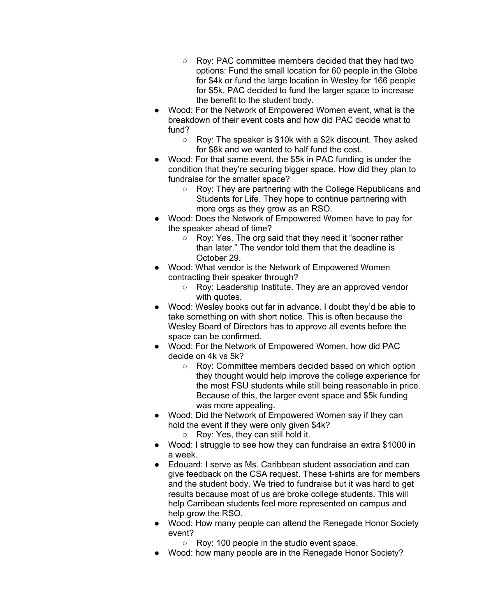- Roy: PAC committee members decided that they had two options: Fund the small location for 60 people in the Globe for \$4k or fund the large location in Wesley for 166 people for \$5k. PAC decided to fund the larger space to increase the benefit to the student body.
- Wood: For the Network of Empowered Women event, what is the breakdown of their event costs and how did PAC decide what to fund?
	- Roy: The speaker is \$10k with a \$2k discount. They asked for \$8k and we wanted to half fund the cost.
- Wood: For that same event, the \$5k in PAC funding is under the condition that they're securing bigger space. How did they plan to fundraise for the smaller space?
	- Roy: They are partnering with the College Republicans and Students for Life. They hope to continue partnering with more orgs as they grow as an RSO.
- Wood: Does the Network of Empowered Women have to pay for the speaker ahead of time?
	- Roy: Yes. The org said that they need it "sooner rather than later." The vendor told them that the deadline is October 29.
- Wood: What vendor is the Network of Empowered Women contracting their speaker through?
	- Roy: Leadership Institute. They are an approved vendor with quotes.
- Wood: Wesley books out far in advance. I doubt they'd be able to take something on with short notice. This is often because the Wesley Board of Directors has to approve all events before the space can be confirmed.
- Wood: For the Network of Empowered Women, how did PAC decide on 4k vs 5k?
	- Roy: Committee members decided based on which option they thought would help improve the college experience for the most FSU students while still being reasonable in price. Because of this, the larger event space and \$5k funding was more appealing.
- Wood: Did the Network of Empowered Women say if they can hold the event if they were only given \$4k?
	- Roy: Yes, they can still hold it.
- Wood: I struggle to see how they can fundraise an extra \$1000 in a week.
- Edouard: I serve as Ms. Caribbean student association and can give feedback on the CSA request. These t-shirts are for members and the student body. We tried to fundraise but it was hard to get results because most of us are broke college students. This will help Carribean students feel more represented on campus and help grow the RSO.
- Wood: How many people can attend the Renegade Honor Society event?
	- Roy: 100 people in the studio event space.
- Wood: how many people are in the Renegade Honor Society?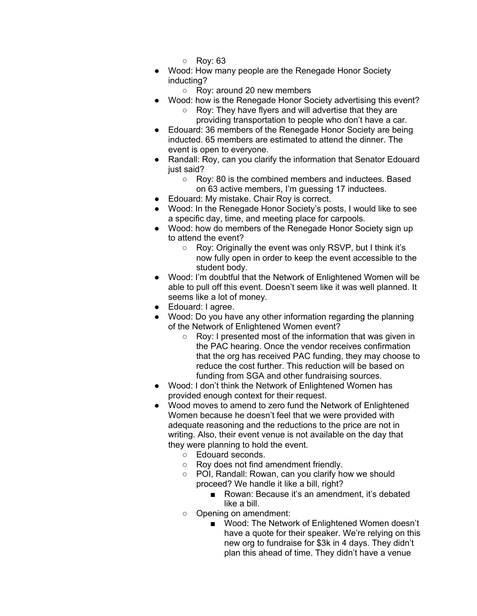- Roy: 63
- Wood: How many people are the Renegade Honor Society inducting?
	- Roy: around 20 new members
- Wood: how is the Renegade Honor Society advertising this event?
	- Roy: They have flyers and will advertise that they are providing transportation to people who don't have a car.
- Edouard: 36 members of the Renegade Honor Society are being inducted. 65 members are estimated to attend the dinner. The event is open to everyone.
- Randall: Roy, can you clarify the information that Senator Edouard just said?
	- Roy: 80 is the combined members and inductees. Based on 63 active members, I'm guessing 17 inductees.
- Edouard: My mistake. Chair Roy is correct.
- Wood: In the Renegade Honor Society's posts, I would like to see a specific day, time, and meeting place for carpools.
- Wood: how do members of the Renegade Honor Society sign up to attend the event?
	- Roy: Originally the event was only RSVP, but I think it's now fully open in order to keep the event accessible to the student body.
- Wood: I'm doubtful that the Network of Enlightened Women will be able to pull off this event. Doesn't seem like it was well planned. It seems like a lot of money.
- Edouard: I agree.
- Wood: Do you have any other information regarding the planning of the Network of Enlightened Women event?
	- Roy: I presented most of the information that was given in the PAC hearing. Once the vendor receives confirmation that the org has received PAC funding, they may choose to reduce the cost further. This reduction will be based on funding from SGA and other fundraising sources.
- Wood: I don't think the Network of Enlightened Women has provided enough context for their request.
- Wood moves to amend to zero fund the Network of Enlightened Women because he doesn't feel that we were provided with adequate reasoning and the reductions to the price are not in writing. Also, their event venue is not available on the day that they were planning to hold the event.
	- Edouard seconds.
	- Roy does not find amendment friendly.
	- POI, Randall: Rowan, can you clarify how we should proceed? We handle it like a bill, right?
		- Rowan: Because it's an amendment, it's debated like a bill.
	- Opening on amendment:
		- Wood: The Network of Enlightened Women doesn't have a quote for their speaker. We're relying on this new org to fundraise for \$3k in 4 days. They didn't plan this ahead of time. They didn't have a venue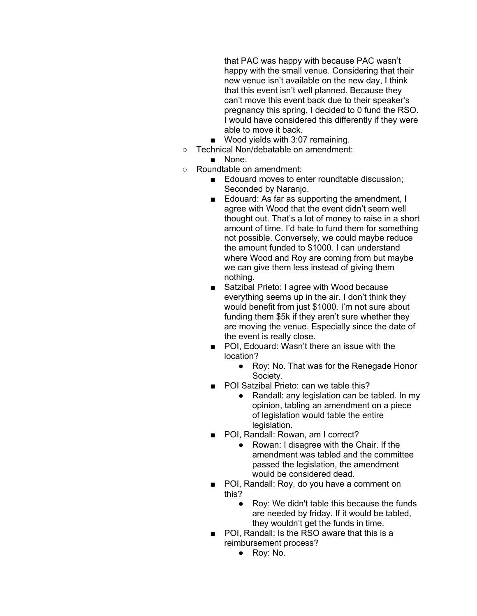that PAC was happy with because PAC wasn't happy with the small venue. Considering that their new venue isn't available on the new day, I think that this event isn't well planned. Because they can't move this event back due to their speaker's pregnancy this spring, I decided to 0 fund the RSO. I would have considered this differently if they were able to move it back.

- Wood yields with 3:07 remaining.
- Technical Non/debatable on amendment:
	- None.
- Roundtable on amendment:
	- Edouard moves to enter roundtable discussion; Seconded by Naranjo.
	- Edouard: As far as supporting the amendment, I agree with Wood that the event didn't seem well thought out. That's a lot of money to raise in a short amount of time. I'd hate to fund them for something not possible. Conversely, we could maybe reduce the amount funded to \$1000. I can understand where Wood and Roy are coming from but maybe we can give them less instead of giving them nothing.
	- Satzibal Prieto: I agree with Wood because everything seems up in the air. I don't think they would benefit from just \$1000. I'm not sure about funding them \$5k if they aren't sure whether they are moving the venue. Especially since the date of the event is really close.
	- POI, Edouard: Wasn't there an issue with the location?
		- Roy: No. That was for the Renegade Honor Society.
	- POI Satzibal Prieto: can we table this?
		- Randall: any legislation can be tabled. In my opinion, tabling an amendment on a piece of legislation would table the entire legislation.
	- POI, Randall: Rowan, am I correct?
		- Rowan: I disagree with the Chair. If the amendment was tabled and the committee passed the legislation, the amendment would be considered dead.
	- POI, Randall: Roy, do you have a comment on this?
		- Roy: We didn't table this because the funds are needed by friday. If it would be tabled, they wouldn't get the funds in time.
	- POI, Randall: Is the RSO aware that this is a reimbursement process?
		- Roy: No.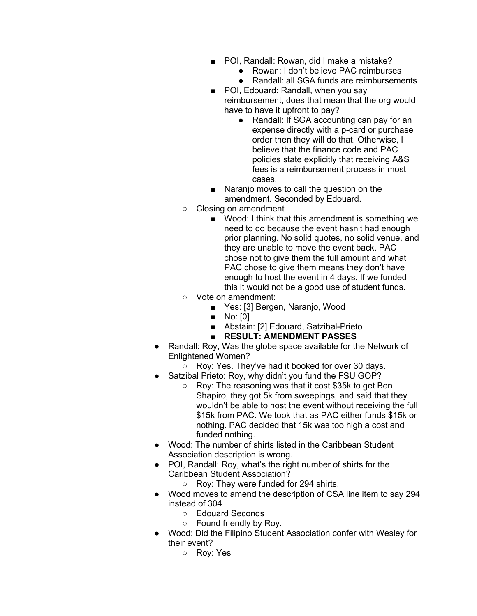- POI, Randall: Rowan, did I make a mistake?
	- Rowan: I don't believe PAC reimburses
	- Randall: all SGA funds are reimbursements
- POI, Edouard: Randall, when you say reimbursement, does that mean that the org would have to have it upfront to pay?
	- Randall: If SGA accounting can pay for an expense directly with a p-card or purchase order then they will do that. Otherwise, I believe that the finance code and PAC policies state explicitly that receiving A&S fees is a reimbursement process in most cases.
- Naranjo moves to call the question on the amendment. Seconded by Edouard.
- Closing on amendment
	- Wood: I think that this amendment is something we need to do because the event hasn't had enough prior planning. No solid quotes, no solid venue, and they are unable to move the event back. PAC chose not to give them the full amount and what PAC chose to give them means they don't have enough to host the event in 4 days. If we funded this it would not be a good use of student funds.
- Vote on amendment:
	- Yes: [3] Bergen, Naranjo, Wood
	- No: [0]
	- Abstain: [2] Edouard, Satzibal-Prieto
	- **RESULT: AMENDMENT PASSES**
- Randall: Roy, Was the globe space available for the Network of Enlightened Women?
	- Roy: Yes. They've had it booked for over 30 days.
- Satzibal Prieto: Roy, why didn't you fund the FSU GOP?
	- Roy: The reasoning was that it cost \$35k to get Ben Shapiro, they got 5k from sweepings, and said that they wouldn't be able to host the event without receiving the full \$15k from PAC. We took that as PAC either funds \$15k or nothing. PAC decided that 15k was too high a cost and funded nothing.
- Wood: The number of shirts listed in the Caribbean Student Association description is wrong.
- POI, Randall: Roy, what's the right number of shirts for the Caribbean Student Association?
	- Roy: They were funded for 294 shirts.
- Wood moves to amend the description of CSA line item to say 294 instead of 304
	- Edouard Seconds
	- Found friendly by Roy.
- Wood: Did the Filipino Student Association confer with Wesley for their event?
	- Roy: Yes